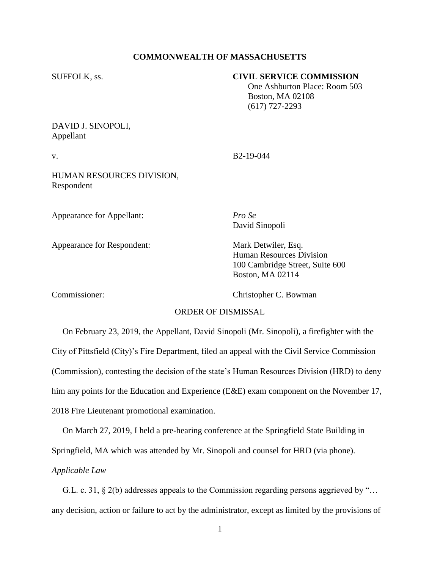## **COMMONWEALTH OF MASSACHUSETTS**

## SUFFOLK, ss. **CIVIL SERVICE COMMISSION**

 One Ashburton Place: Room 503 Boston, MA 02108 (617) 727-2293

DAVID J. SINOPOLI, Appellant

v. B<sub>2-19-044</sub>

HUMAN RESOURCES DIVISION, Respondent

Appearance for Appellant: *Pro Se*

Appearance for Respondent: Mark Detwiler, Esq.

David Sinopoli

Human Resources Division 100 Cambridge Street, Suite 600 Boston, MA 02114

Commissioner: Christopher C. Bowman

# ORDER OF DISMISSAL

 On February 23, 2019, the Appellant, David Sinopoli (Mr. Sinopoli), a firefighter with the City of Pittsfield (City)'s Fire Department, filed an appeal with the Civil Service Commission (Commission), contesting the decision of the state's Human Resources Division (HRD) to deny him any points for the Education and Experience (E&E) exam component on the November 17, 2018 Fire Lieutenant promotional examination.

 On March 27, 2019, I held a pre-hearing conference at the Springfield State Building in Springfield, MA which was attended by Mr. Sinopoli and counsel for HRD (via phone). *Applicable Law*

 G.L. c. 31, § 2(b) addresses appeals to the Commission regarding persons aggrieved by "… any decision, action or failure to act by the administrator, except as limited by the provisions of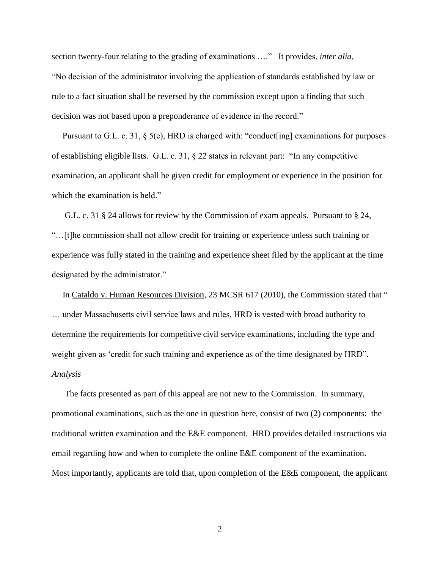section twenty-four relating to the grading of examinations …." It provides, *inter alia*, "No decision of the administrator involving the application of standards established by law or rule to a fact situation shall be reversed by the commission except upon a finding that such decision was not based upon a preponderance of evidence in the record."

Pursuant to G.L. c. 31, § 5(e), HRD is charged with: "conduct[ing] examinations for purposes of establishing eligible lists. G.L. c. 31, § 22 states in relevant part: "In any competitive examination, an applicant shall be given credit for employment or experience in the position for which the examination is held."

 G.L. c. 31 § 24 allows for review by the Commission of exam appeals. Pursuant to § 24, "…[t]he commission shall not allow credit for training or experience unless such training or experience was fully stated in the training and experience sheet filed by the applicant at the time designated by the administrator."

In Cataldo v. Human Resources Division, 23 MCSR 617 (2010), the Commission stated that " … under Massachusetts civil service laws and rules, HRD is vested with broad authority to determine the requirements for competitive civil service examinations, including the type and weight given as 'credit for such training and experience as of the time designated by HRD". *Analysis*

 The facts presented as part of this appeal are not new to the Commission. In summary, promotional examinations, such as the one in question here, consist of two (2) components: the traditional written examination and the E&E component. HRD provides detailed instructions via email regarding how and when to complete the online E&E component of the examination. Most importantly, applicants are told that, upon completion of the E&E component, the applicant

2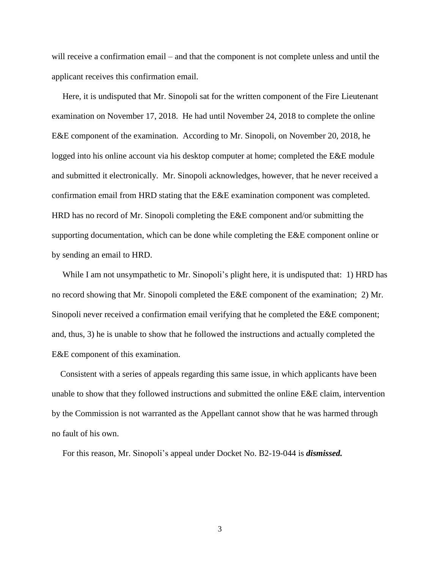will receive a confirmation email – and that the component is not complete unless and until the applicant receives this confirmation email.

 Here, it is undisputed that Mr. Sinopoli sat for the written component of the Fire Lieutenant examination on November 17, 2018. He had until November 24, 2018 to complete the online E&E component of the examination. According to Mr. Sinopoli, on November 20, 2018, he logged into his online account via his desktop computer at home; completed the E&E module and submitted it electronically. Mr. Sinopoli acknowledges, however, that he never received a confirmation email from HRD stating that the E&E examination component was completed. HRD has no record of Mr. Sinopoli completing the E&E component and/or submitting the supporting documentation, which can be done while completing the E&E component online or by sending an email to HRD.

While I am not unsympathetic to Mr. Sinopoli's plight here, it is undisputed that: 1) HRD has no record showing that Mr. Sinopoli completed the E&E component of the examination; 2) Mr. Sinopoli never received a confirmation email verifying that he completed the E&E component; and, thus, 3) he is unable to show that he followed the instructions and actually completed the E&E component of this examination.

 Consistent with a series of appeals regarding this same issue, in which applicants have been unable to show that they followed instructions and submitted the online E&E claim, intervention by the Commission is not warranted as the Appellant cannot show that he was harmed through no fault of his own.

For this reason, Mr. Sinopoli's appeal under Docket No. B2-19-044 is *dismissed.*

3